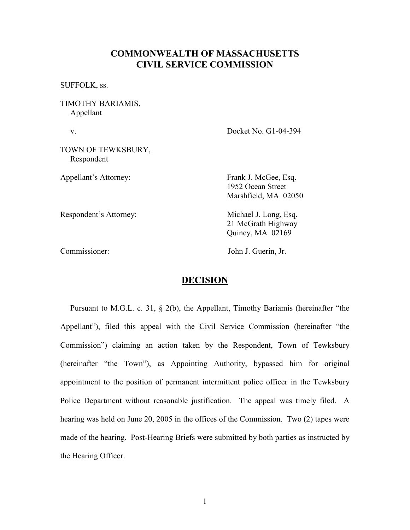## COMMONWEALTH OF MASSACHUSETTS CIVIL SERVICE COMMISSION

SUFFOLK, ss.

TIMOTHY BARIAMIS, Appellant

v. Docket No. G1-04-394

TOWN OF TEWKSBURY, Respondent

Appellant's Attorney: Frank J. McGee, Esq.

Respondent's Attorney: Michael J. Long, Esq.

Marshfield, MA 02050

1952 Ocean Street

 21 McGrath Highway Quincy, MA 02169

Commissioner: John J. Guerin, Jr.

## DECISION

 Pursuant to M.G.L. c. 31, § 2(b), the Appellant, Timothy Bariamis (hereinafter "the Appellant"), filed this appeal with the Civil Service Commission (hereinafter "the Commission") claiming an action taken by the Respondent, Town of Tewksbury (hereinafter "the Town"), as Appointing Authority, bypassed him for original appointment to the position of permanent intermittent police officer in the Tewksbury Police Department without reasonable justification. The appeal was timely filed. A hearing was held on June 20, 2005 in the offices of the Commission. Two (2) tapes were made of the hearing. Post-Hearing Briefs were submitted by both parties as instructed by the Hearing Officer.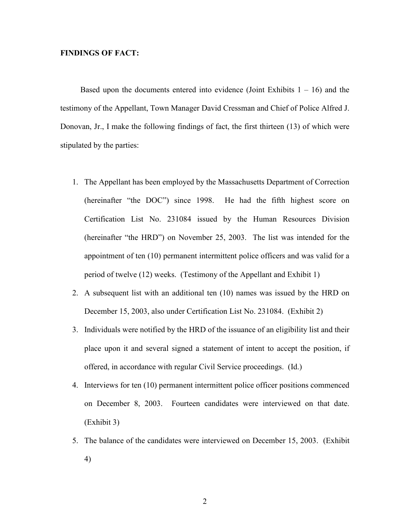## FINDINGS OF FACT:

Based upon the documents entered into evidence (Joint Exhibits  $1 - 16$ ) and the testimony of the Appellant, Town Manager David Cressman and Chief of Police Alfred J. Donovan, Jr., I make the following findings of fact, the first thirteen (13) of which were stipulated by the parties:

- 1. The Appellant has been employed by the Massachusetts Department of Correction (hereinafter "the DOC") since 1998. He had the fifth highest score on Certification List No. 231084 issued by the Human Resources Division (hereinafter "the HRD") on November 25, 2003. The list was intended for the appointment of ten (10) permanent intermittent police officers and was valid for a period of twelve (12) weeks. (Testimony of the Appellant and Exhibit 1)
- 2. A subsequent list with an additional ten (10) names was issued by the HRD on December 15, 2003, also under Certification List No. 231084. (Exhibit 2)
- 3. Individuals were notified by the HRD of the issuance of an eligibility list and their place upon it and several signed a statement of intent to accept the position, if offered, in accordance with regular Civil Service proceedings. (Id.)
- 4. Interviews for ten (10) permanent intermittent police officer positions commenced on December 8, 2003. Fourteen candidates were interviewed on that date. (Exhibit 3)
- 5. The balance of the candidates were interviewed on December 15, 2003. (Exhibit 4)

2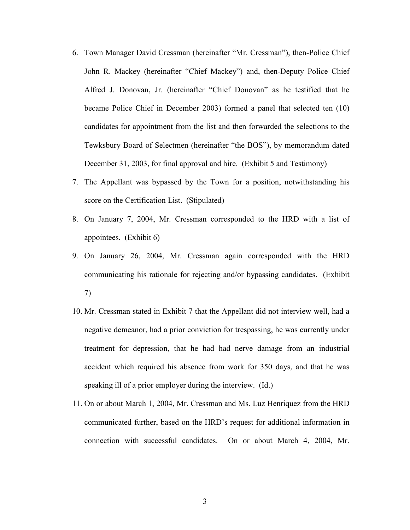- 6. Town Manager David Cressman (hereinafter "Mr. Cressman"), then-Police Chief John R. Mackey (hereinafter "Chief Mackey") and, then-Deputy Police Chief Alfred J. Donovan, Jr. (hereinafter "Chief Donovan" as he testified that he became Police Chief in December 2003) formed a panel that selected ten (10) candidates for appointment from the list and then forwarded the selections to the Tewksbury Board of Selectmen (hereinafter "the BOS"), by memorandum dated December 31, 2003, for final approval and hire. (Exhibit 5 and Testimony)
- 7. The Appellant was bypassed by the Town for a position, notwithstanding his score on the Certification List. (Stipulated)
- 8. On January 7, 2004, Mr. Cressman corresponded to the HRD with a list of appointees. (Exhibit 6)
- 9. On January 26, 2004, Mr. Cressman again corresponded with the HRD communicating his rationale for rejecting and/or bypassing candidates. (Exhibit 7)
- 10. Mr. Cressman stated in Exhibit 7 that the Appellant did not interview well, had a negative demeanor, had a prior conviction for trespassing, he was currently under treatment for depression, that he had had nerve damage from an industrial accident which required his absence from work for 350 days, and that he was speaking ill of a prior employer during the interview. (Id.)
- 11. On or about March 1, 2004, Mr. Cressman and Ms. Luz Henriquez from the HRD communicated further, based on the HRD's request for additional information in connection with successful candidates. On or about March 4, 2004, Mr.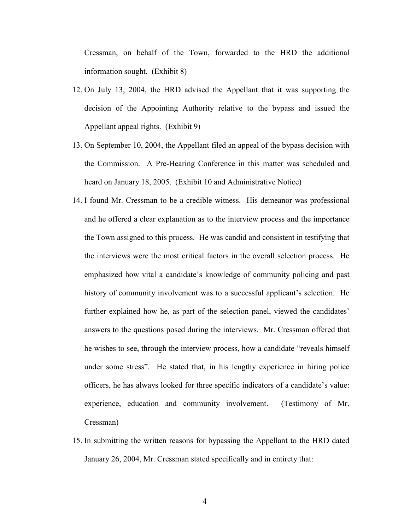Cressman, on behalf of the Town, forwarded to the HRD the additional information sought. (Exhibit 8)

- 12. On July 13, 2004, the HRD advised the Appellant that it was supporting the decision of the Appointing Authority relative to the bypass and issued the Appellant appeal rights. (Exhibit 9)
- 13. On September 10, 2004, the Appellant filed an appeal of the bypass decision with the Commission. A Pre-Hearing Conference in this matter was scheduled and heard on January 18, 2005. (Exhibit 10 and Administrative Notice)
- 14. I found Mr. Cressman to be a credible witness. His demeanor was professional and he offered a clear explanation as to the interview process and the importance the Town assigned to this process. He was candid and consistent in testifying that the interviews were the most critical factors in the overall selection process. He emphasized how vital a candidate's knowledge of community policing and past history of community involvement was to a successful applicant's selection. He further explained how he, as part of the selection panel, viewed the candidates' answers to the questions posed during the interviews. Mr. Cressman offered that he wishes to see, through the interview process, how a candidate "reveals himself under some stress". He stated that, in his lengthy experience in hiring police officers, he has always looked for three specific indicators of a candidate's value: experience, education and community involvement. (Testimony of Mr. Cressman)
- 15. In submitting the written reasons for bypassing the Appellant to the HRD dated January 26, 2004, Mr. Cressman stated specifically and in entirety that: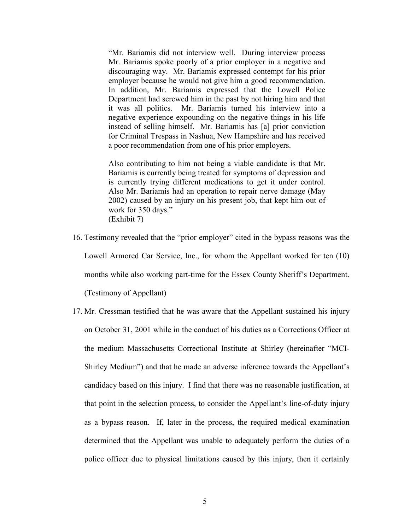"Mr. Bariamis did not interview well. During interview process Mr. Bariamis spoke poorly of a prior employer in a negative and discouraging way. Mr. Bariamis expressed contempt for his prior employer because he would not give him a good recommendation. In addition, Mr. Bariamis expressed that the Lowell Police Department had screwed him in the past by not hiring him and that it was all politics. Mr. Bariamis turned his interview into a negative experience expounding on the negative things in his life instead of selling himself. Mr. Bariamis has [a] prior conviction for Criminal Trespass in Nashua, New Hampshire and has received a poor recommendation from one of his prior employers.

Also contributing to him not being a viable candidate is that Mr. Bariamis is currently being treated for symptoms of depression and is currently trying different medications to get it under control. Also Mr. Bariamis had an operation to repair nerve damage (May 2002) caused by an injury on his present job, that kept him out of work for 350 days." (Exhibit 7)

- 16. Testimony revealed that the "prior employer" cited in the bypass reasons was the Lowell Armored Car Service, Inc., for whom the Appellant worked for ten (10) months while also working part-time for the Essex County Sheriff's Department. (Testimony of Appellant)
- 17. Mr. Cressman testified that he was aware that the Appellant sustained his injury on October 31, 2001 while in the conduct of his duties as a Corrections Officer at the medium Massachusetts Correctional Institute at Shirley (hereinafter "MCI-Shirley Medium") and that he made an adverse inference towards the Appellant's candidacy based on this injury. I find that there was no reasonable justification, at that point in the selection process, to consider the Appellant's line-of-duty injury as a bypass reason. If, later in the process, the required medical examination determined that the Appellant was unable to adequately perform the duties of a police officer due to physical limitations caused by this injury, then it certainly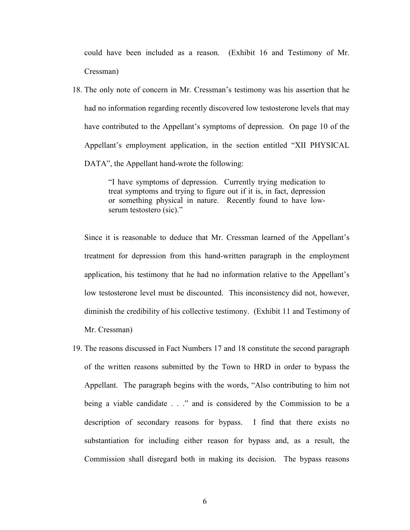could have been included as a reason. (Exhibit 16 and Testimony of Mr. Cressman)

18. The only note of concern in Mr. Cressman's testimony was his assertion that he had no information regarding recently discovered low testosterone levels that may have contributed to the Appellant's symptoms of depression. On page 10 of the Appellant's employment application, in the section entitled "XII PHYSICAL DATA", the Appellant hand-wrote the following:

> "I have symptoms of depression. Currently trying medication to treat symptoms and trying to figure out if it is, in fact, depression or something physical in nature. Recently found to have lowserum testostero (sic)."

Since it is reasonable to deduce that Mr. Cressman learned of the Appellant's treatment for depression from this hand-written paragraph in the employment application, his testimony that he had no information relative to the Appellant's low testosterone level must be discounted. This inconsistency did not, however, diminish the credibility of his collective testimony. (Exhibit 11 and Testimony of Mr. Cressman)

19. The reasons discussed in Fact Numbers 17 and 18 constitute the second paragraph of the written reasons submitted by the Town to HRD in order to bypass the Appellant. The paragraph begins with the words, "Also contributing to him not being a viable candidate . . ." and is considered by the Commission to be a description of secondary reasons for bypass. I find that there exists no substantiation for including either reason for bypass and, as a result, the Commission shall disregard both in making its decision. The bypass reasons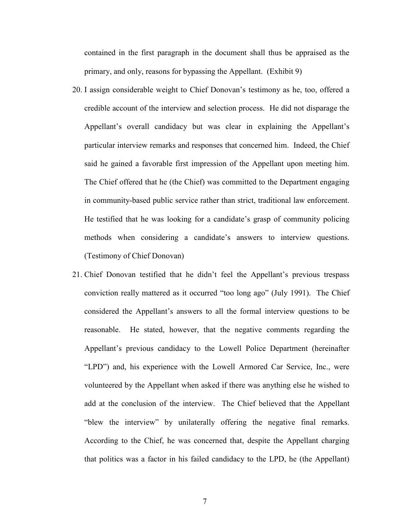contained in the first paragraph in the document shall thus be appraised as the primary, and only, reasons for bypassing the Appellant. (Exhibit 9)

- 20. I assign considerable weight to Chief Donovan's testimony as he, too, offered a credible account of the interview and selection process. He did not disparage the Appellant's overall candidacy but was clear in explaining the Appellant's particular interview remarks and responses that concerned him. Indeed, the Chief said he gained a favorable first impression of the Appellant upon meeting him. The Chief offered that he (the Chief) was committed to the Department engaging in community-based public service rather than strict, traditional law enforcement. He testified that he was looking for a candidate's grasp of community policing methods when considering a candidate's answers to interview questions. (Testimony of Chief Donovan)
- 21. Chief Donovan testified that he didn't feel the Appellant's previous trespass conviction really mattered as it occurred "too long ago" (July 1991). The Chief considered the Appellant's answers to all the formal interview questions to be reasonable. He stated, however, that the negative comments regarding the Appellant's previous candidacy to the Lowell Police Department (hereinafter "LPD") and, his experience with the Lowell Armored Car Service, Inc., were volunteered by the Appellant when asked if there was anything else he wished to add at the conclusion of the interview. The Chief believed that the Appellant "blew the interview" by unilaterally offering the negative final remarks. According to the Chief, he was concerned that, despite the Appellant charging that politics was a factor in his failed candidacy to the LPD, he (the Appellant)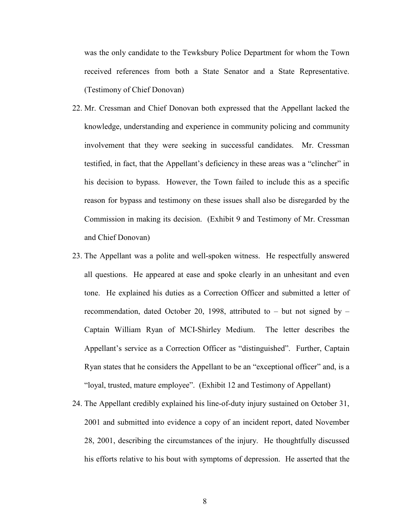was the only candidate to the Tewksbury Police Department for whom the Town received references from both a State Senator and a State Representative. (Testimony of Chief Donovan)

- 22. Mr. Cressman and Chief Donovan both expressed that the Appellant lacked the knowledge, understanding and experience in community policing and community involvement that they were seeking in successful candidates. Mr. Cressman testified, in fact, that the Appellant's deficiency in these areas was a "clincher" in his decision to bypass. However, the Town failed to include this as a specific reason for bypass and testimony on these issues shall also be disregarded by the Commission in making its decision. (Exhibit 9 and Testimony of Mr. Cressman and Chief Donovan)
- 23. The Appellant was a polite and well-spoken witness. He respectfully answered all questions. He appeared at ease and spoke clearly in an unhesitant and even tone. He explained his duties as a Correction Officer and submitted a letter of recommendation, dated October 20, 1998, attributed to – but not signed by – Captain William Ryan of MCI-Shirley Medium. The letter describes the Appellant's service as a Correction Officer as "distinguished". Further, Captain Ryan states that he considers the Appellant to be an "exceptional officer" and, is a "loyal, trusted, mature employee". (Exhibit 12 and Testimony of Appellant)
- 24. The Appellant credibly explained his line-of-duty injury sustained on October 31, 2001 and submitted into evidence a copy of an incident report, dated November 28, 2001, describing the circumstances of the injury. He thoughtfully discussed his efforts relative to his bout with symptoms of depression. He asserted that the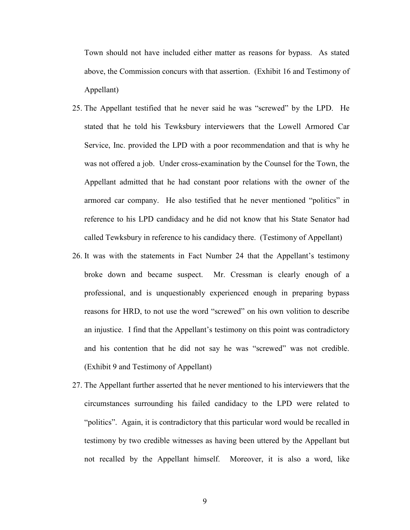Town should not have included either matter as reasons for bypass. As stated above, the Commission concurs with that assertion. (Exhibit 16 and Testimony of Appellant)

- 25. The Appellant testified that he never said he was "screwed" by the LPD. He stated that he told his Tewksbury interviewers that the Lowell Armored Car Service, Inc. provided the LPD with a poor recommendation and that is why he was not offered a job. Under cross-examination by the Counsel for the Town, the Appellant admitted that he had constant poor relations with the owner of the armored car company. He also testified that he never mentioned "politics" in reference to his LPD candidacy and he did not know that his State Senator had called Tewksbury in reference to his candidacy there. (Testimony of Appellant)
- 26. It was with the statements in Fact Number 24 that the Appellant's testimony broke down and became suspect. Mr. Cressman is clearly enough of a professional, and is unquestionably experienced enough in preparing bypass reasons for HRD, to not use the word "screwed" on his own volition to describe an injustice. I find that the Appellant's testimony on this point was contradictory and his contention that he did not say he was "screwed" was not credible. (Exhibit 9 and Testimony of Appellant)
- 27. The Appellant further asserted that he never mentioned to his interviewers that the circumstances surrounding his failed candidacy to the LPD were related to "politics". Again, it is contradictory that this particular word would be recalled in testimony by two credible witnesses as having been uttered by the Appellant but not recalled by the Appellant himself. Moreover, it is also a word, like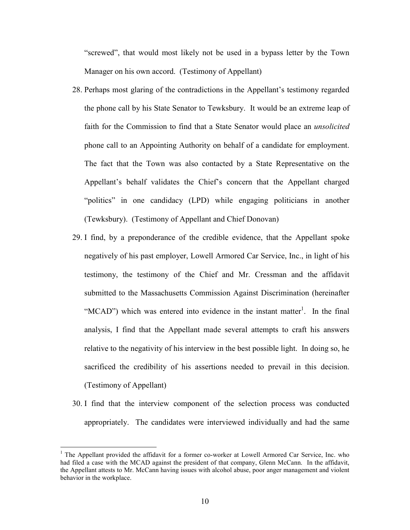"screwed", that would most likely not be used in a bypass letter by the Town Manager on his own accord. (Testimony of Appellant)

- 28. Perhaps most glaring of the contradictions in the Appellant's testimony regarded the phone call by his State Senator to Tewksbury. It would be an extreme leap of faith for the Commission to find that a State Senator would place an *unsolicited* phone call to an Appointing Authority on behalf of a candidate for employment. The fact that the Town was also contacted by a State Representative on the Appellant's behalf validates the Chief's concern that the Appellant charged "politics" in one candidacy (LPD) while engaging politicians in another (Tewksbury). (Testimony of Appellant and Chief Donovan)
- 29. I find, by a preponderance of the credible evidence, that the Appellant spoke negatively of his past employer, Lowell Armored Car Service, Inc., in light of his testimony, the testimony of the Chief and Mr. Cressman and the affidavit submitted to the Massachusetts Commission Against Discrimination (hereinafter "MCAD") which was entered into evidence in the instant matter<sup>1</sup>. In the final analysis, I find that the Appellant made several attempts to craft his answers relative to the negativity of his interview in the best possible light. In doing so, he sacrificed the credibility of his assertions needed to prevail in this decision. (Testimony of Appellant)
- 30. I find that the interview component of the selection process was conducted appropriately. The candidates were interviewed individually and had the same

 $\overline{a}$ 

<sup>&</sup>lt;sup>1</sup> The Appellant provided the affidavit for a former co-worker at Lowell Armored Car Service, Inc. who had filed a case with the MCAD against the president of that company, Glenn McCann. In the affidavit, the Appellant attests to Mr. McCann having issues with alcohol abuse, poor anger management and violent behavior in the workplace.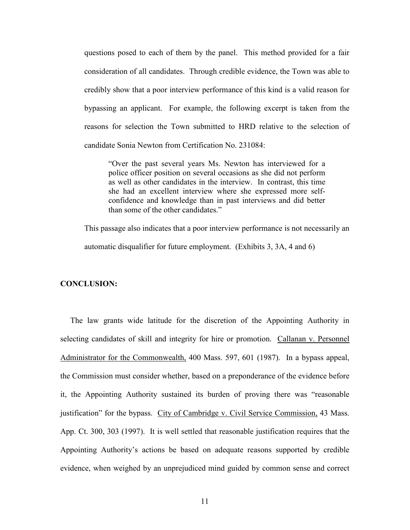questions posed to each of them by the panel. This method provided for a fair consideration of all candidates. Through credible evidence, the Town was able to credibly show that a poor interview performance of this kind is a valid reason for bypassing an applicant. For example, the following excerpt is taken from the reasons for selection the Town submitted to HRD relative to the selection of candidate Sonia Newton from Certification No. 231084:

"Over the past several years Ms. Newton has interviewed for a police officer position on several occasions as she did not perform as well as other candidates in the interview. In contrast, this time she had an excellent interview where she expressed more selfconfidence and knowledge than in past interviews and did better than some of the other candidates."

This passage also indicates that a poor interview performance is not necessarily an automatic disqualifier for future employment. (Exhibits 3, 3A, 4 and 6)

## CONCLUSION:

 The law grants wide latitude for the discretion of the Appointing Authority in selecting candidates of skill and integrity for hire or promotion. Callanan v. Personnel Administrator for the Commonwealth, 400 Mass. 597, 601 (1987). In a bypass appeal, the Commission must consider whether, based on a preponderance of the evidence before it, the Appointing Authority sustained its burden of proving there was "reasonable justification" for the bypass. City of Cambridge v. Civil Service Commission, 43 Mass. App. Ct. 300, 303 (1997). It is well settled that reasonable justification requires that the Appointing Authority's actions be based on adequate reasons supported by credible evidence, when weighed by an unprejudiced mind guided by common sense and correct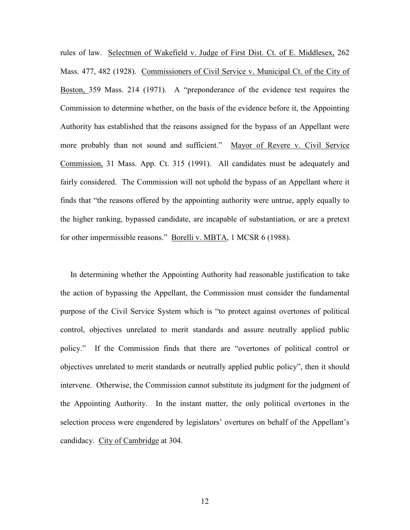rules of law. Selectmen of Wakefield v. Judge of First Dist. Ct. of E. Middlesex, 262 Mass. 477, 482 (1928). Commissioners of Civil Service v. Municipal Ct. of the City of Boston, 359 Mass. 214 (1971). A "preponderance of the evidence test requires the Commission to determine whether, on the basis of the evidence before it, the Appointing Authority has established that the reasons assigned for the bypass of an Appellant were more probably than not sound and sufficient." Mayor of Revere v. Civil Service Commission, 31 Mass. App. Ct. 315 (1991). All candidates must be adequately and fairly considered. The Commission will not uphold the bypass of an Appellant where it finds that "the reasons offered by the appointing authority were untrue, apply equally to the higher ranking, bypassed candidate, are incapable of substantiation, or are a pretext for other impermissible reasons." Borelli v. MBTA, 1 MCSR 6 (1988).

 In determining whether the Appointing Authority had reasonable justification to take the action of bypassing the Appellant, the Commission must consider the fundamental purpose of the Civil Service System which is "to protect against overtones of political control, objectives unrelated to merit standards and assure neutrally applied public policy." If the Commission finds that there are "overtones of political control or objectives unrelated to merit standards or neutrally applied public policy", then it should intervene. Otherwise, the Commission cannot substitute its judgment for the judgment of the Appointing Authority. In the instant matter, the only political overtones in the selection process were engendered by legislators' overtures on behalf of the Appellant's candidacy. City of Cambridge at 304.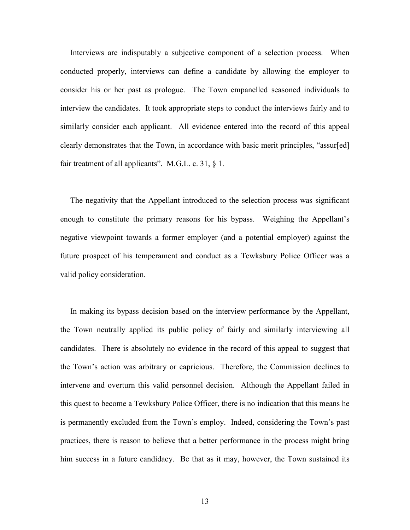Interviews are indisputably a subjective component of a selection process. When conducted properly, interviews can define a candidate by allowing the employer to consider his or her past as prologue. The Town empanelled seasoned individuals to interview the candidates. It took appropriate steps to conduct the interviews fairly and to similarly consider each applicant. All evidence entered into the record of this appeal clearly demonstrates that the Town, in accordance with basic merit principles, "assur[ed] fair treatment of all applicants". M.G.L. c. 31,  $\S$  1.

 The negativity that the Appellant introduced to the selection process was significant enough to constitute the primary reasons for his bypass. Weighing the Appellant's negative viewpoint towards a former employer (and a potential employer) against the future prospect of his temperament and conduct as a Tewksbury Police Officer was a valid policy consideration.

 In making its bypass decision based on the interview performance by the Appellant, the Town neutrally applied its public policy of fairly and similarly interviewing all candidates. There is absolutely no evidence in the record of this appeal to suggest that the Town's action was arbitrary or capricious. Therefore, the Commission declines to intervene and overturn this valid personnel decision. Although the Appellant failed in this quest to become a Tewksbury Police Officer, there is no indication that this means he is permanently excluded from the Town's employ. Indeed, considering the Town's past practices, there is reason to believe that a better performance in the process might bring him success in a future candidacy. Be that as it may, however, the Town sustained its